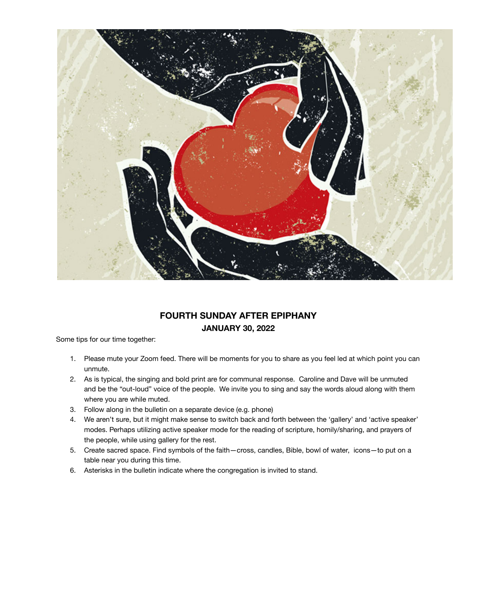

# **FOURTH SUNDAY AFTER EPIPHANY JANUARY 30, 2022**

Some tips for our time together:

- 1. Please mute your Zoom feed. There will be moments for you to share as you feel led at which point you can unmute.
- 2. As is typical, the singing and bold print are for communal response. Caroline and Dave will be unmuted and be the "out-loud" voice of the people. We invite you to sing and say the words aloud along with them where you are while muted.
- 3. Follow along in the bulletin on a separate device (e.g. phone)
- 4. We aren't sure, but it might make sense to switch back and forth between the 'gallery' and 'active speaker' modes. Perhaps utilizing active speaker mode for the reading of scripture, homily/sharing, and prayers of the people, while using gallery for the rest.
- 5. Create sacred space. Find symbols of the faith—cross, candles, Bible, bowl of water, icons—to put on a table near you during this time.
- 6. Asterisks in the bulletin indicate where the congregation is invited to stand.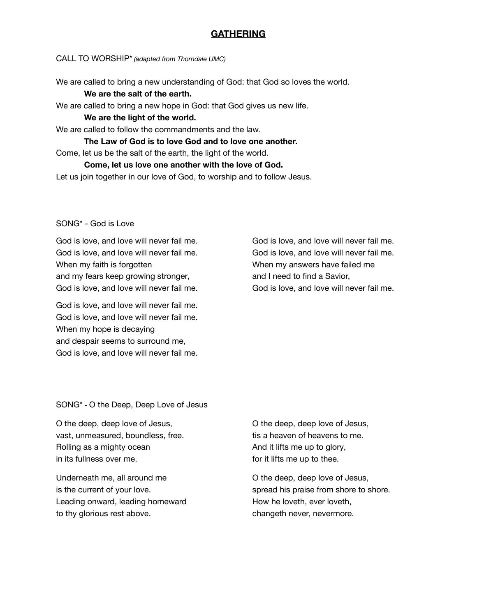## **GATHERING**

### CALL TO WORSHIP\* *(adapted from Thorndale UMC)*

We are called to bring a new understanding of God: that God so loves the world.

#### **We are the salt of the earth.**

We are called to bring a new hope in God: that God gives us new life.

## **We are the light of the world.**

We are called to follow the commandments and the law.

## **The Law of God is to love God and to love one another.**

Come, let us be the salt of the earth, the light of the world.

## **Come, let us love one another with the love of God.**

Let us join together in our love of God, to worship and to follow Jesus.

## SONG\* - God is Love

God is love, and love will never fail me. God is love, and love will never fail me. God is love, and love will never fail me. God is love, and love will never fail me. When my faith is forgotten **When my answers have failed me** and my fears keep growing stronger, and I need to find a Savior, God is love, and love will never fail me. God is love, and love will never fail me.

God is love, and love will never fail me. God is love, and love will never fail me. When my hope is decaying and despair seems to surround me, God is love, and love will never fail me.

#### SONG\* - O the Deep, Deep Love of Jesus

O the deep, deep love of Jesus, O the deep, deep love of Jesus, vast, unmeasured, boundless, free. tis a heaven of heavens to me. Rolling as a mighty ocean And it lifts me up to glory, in its fullness over me. **for it lifts me up to thee.** 

Underneath me, all around me  $\qquad \qquad$  O the deep, deep love of Jesus, Leading onward, leading homeward **How he loveth, ever loveth,** to thy glorious rest above. changeth never, nevermore.

is the current of your love.  $\sim$  spread his praise from shore to shore.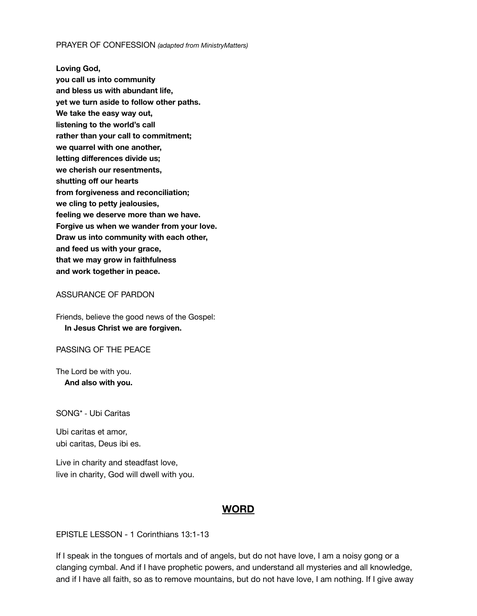#### PRAYER OF CONFESSION *(adapted from MinistryMatters)*

**Loving God, you call us into community and bless us with abundant life, yet we turn aside to follow other paths. We take the easy way out, listening to the world's call rather than your call to commitment; we quarrel with one another, letting differences divide us; we cherish our resentments, shutting off our hearts from forgiveness and reconciliation; we cling to petty jealousies, feeling we deserve more than we have. Forgive us when we wander from your love. Draw us into community with each other, and feed us with your grace, that we may grow in faithfulness and work together in peace.**

## ASSURANCE OF PARDON

Friends, believe the good news of the Gospel: **In Jesus Christ we are forgiven.**

PASSING OF THE PEACE

The Lord be with you. **And also with you.**

SONG\* - Ubi Caritas

Ubi caritas et amor, ubi caritas, Deus ibi es.

Live in charity and steadfast love, live in charity, God will dwell with you.

## **WORD**

## EPISTLE LESSON - 1 Corinthians 13:1-13

If I speak in the tongues of mortals and of angels, but do not have love, I am a noisy gong or a clanging cymbal. And if I have prophetic powers, and understand all mysteries and all knowledge, and if I have all faith, so as to remove mountains, but do not have love, I am nothing. If I give away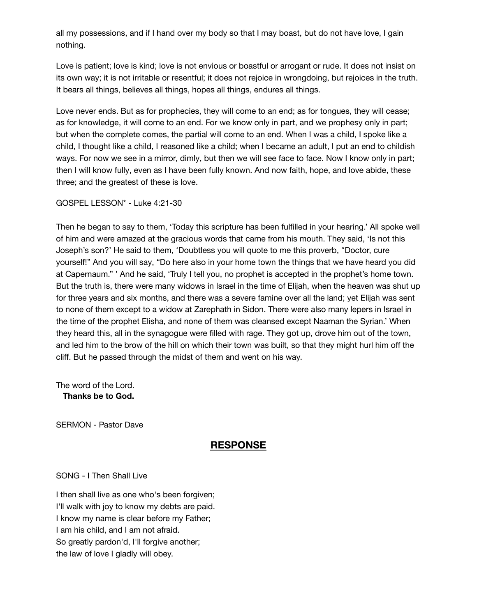all my possessions, and if I hand over my body so that I may boast, but do not have love, I gain nothing.

Love is patient; love is kind; love is not envious or boastful or arrogant or rude. It does not insist on its own way; it is not irritable or resentful; it does not rejoice in wrongdoing, but rejoices in the truth. It bears all things, believes all things, hopes all things, endures all things.

Love never ends. But as for prophecies, they will come to an end; as for tongues, they will cease; as for knowledge, it will come to an end. For we know only in part, and we prophesy only in part; but when the complete comes, the partial will come to an end. When I was a child, I spoke like a child, I thought like a child, I reasoned like a child; when I became an adult, I put an end to childish ways. For now we see in a mirror, dimly, but then we will see face to face. Now I know only in part; then I will know fully, even as I have been fully known. And now faith, hope, and love abide, these three; and the greatest of these is love.

GOSPEL LESSON\* - Luke 4:21-30

Then he began to say to them, 'Today this scripture has been fulfilled in your hearing.' All spoke well of him and were amazed at the gracious words that came from his mouth. They said, 'Is not this Joseph's son?' He said to them, 'Doubtless you will quote to me this proverb, "Doctor, cure yourself!" And you will say, "Do here also in your home town the things that we have heard you did at Capernaum." ' And he said, 'Truly I tell you, no prophet is accepted in the prophet's home town. But the truth is, there were many widows in Israel in the time of Elijah, when the heaven was shut up for three years and six months, and there was a severe famine over all the land; yet Elijah was sent to none of them except to a widow at Zarephath in Sidon. There were also many lepers in Israel in the time of the prophet Elisha, and none of them was cleansed except Naaman the Syrian.' When they heard this, all in the synagogue were filled with rage. They got up, drove him out of the town, and led him to the brow of the hill on which their town was built, so that they might hurl him off the cliff. But he passed through the midst of them and went on his way.

The word of the Lord. **Thanks be to God.**

SERMON - Pastor Dave

# **RESPONSE**

SONG - I Then Shall Live

I then shall live as one who's been forgiven; I'll walk with joy to know my debts are paid. I know my name is clear before my Father; I am his child, and I am not afraid. So greatly pardon'd, I'll forgive another; the law of love I gladly will obey.